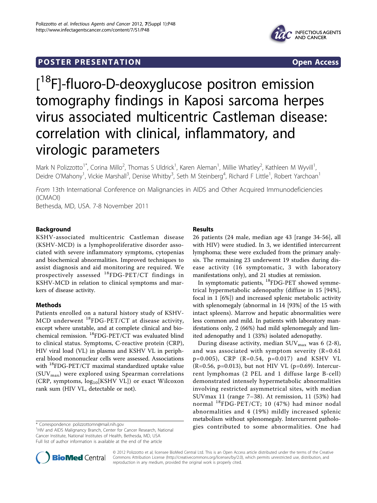## **POSTER PRESENTATION CONSUMING ACCESS**



# [<sup>18</sup>F]-fluoro-D-deoxyglucose positron emission tomography findings in Kaposi sarcoma herpes virus associated multicentric Castleman disease: correlation with clinical, inflammatory, and virologic parameters

Mark N Polizzotto<sup>1\*</sup>, Corina Millo<sup>2</sup>, Thomas S Uldrick<sup>1</sup>, Karen Aleman<sup>1</sup>, Millie Whatley<sup>2</sup>, Kathleen M Wyvill<sup>1</sup> , Deidre O'Mahony<sup>1</sup>, Vickie Marshall<sup>3</sup>, Denise Whitby<sup>3</sup>, Seth M Steinberg<sup>4</sup>, Richard F Little<sup>1</sup>, Robert Yarchoan<sup>1</sup>

From 13th International Conference on Malignancies in AIDS and Other Acquired Immunodeficiencies (ICMAOI)

Bethesda, MD, USA. 7-8 November 2011

## Background

KSHV-associated multicentric Castleman disease (KSHV-MCD) is a lymphoproliferative disorder associated with severe inflammatory symptoms, cytopenias and biochemical abnormalities. Improved techniques to assist diagnosis and aid monitoring are required. We prospectively assessed 18FDG-PET/CT findings in KSHV-MCD in relation to clinical symptoms and markers of disease activity.

## Methods

Patients enrolled on a natural history study of KSHV-MCD underwent 18FDG-PET/CT at disease activity, except where unstable, and at complete clinical and biochemical remission. 18FDG-PET/CT was evaluated blind to clinical status. Symptoms, C-reactive protein (CRP), HIV viral load (VL) in plasma and KSHV VL in peripheral blood mononuclear cells were assessed. Associations with <sup>18</sup>FDG-PET/CT maximal standardized uptake value  $(SUV_{max})$  were explored using Spearman correlations (CRP, symptoms, log<sub>10</sub>[KSHV VL]) or exact Wilcoxon rank sum (HIV VL, detectable or not).

## Results

26 patients (24 male, median age 43 [range 34-56], all with HIV) were studied. In 3, we identified intercurrent lymphoma; these were excluded from the primary analysis. The remaining 23 underwent 19 studies during disease activity (16 symptomatic, 3 with laboratory manifestations only), and 21 studies at remission.

In symptomatic patients, 18FDG-PET showed symmetrical hypermetabolic adenopathy (diffuse in 15 [94%], focal in 1 [6%]) and increased splenic metabolic activity with splenomegaly (abnormal in 14 [93%] of the 15 with intact spleens). Marrow and hepatic abnormalities were less common and mild. In patients with laboratory manifestations only, 2 (66%) had mild splenomegaly and limited adenopathy and 1 (33%) isolated adenopathy.

During disease activity, median  $\text{SUV}_{\text{max}}$  was 6 (2-8), and was associated with symptom severity  $(R=0.61)$ p=0.005), CRP (R=0.54, p=0.017) and KSHV VL (R=0.56, p=0.013), but not HIV VL (p=0.69). Intercurrent lymphomas (2 PEL and 1 diffuse large B-cell) demonstrated intensely hypermetabolic abnormalities involving restricted asymmetrical sites, with median SUVmax 11 (range 7–38). At remission, 11 (53%) had normal 18FDG-PET/CT; 10 (47%) had minor nodal abnormalities and 4 (19%) mildly increased splenic metabolism without splenomegaly. Intercurrent patholo\* Correspondence: [polizzottomn@mail.nih.gov](mailto:polizzottomn@mail.nih.gov)<br><sup>1</sup> Wend AIDS Malignancy Brank Contex for Cancer Because National **the search of the southbuted to some abnormalities.** One had



© 2012 Polizzotto et al; licensee BioMed Central Ltd. This is an Open Access article distributed under the terms of the Creative Commons Attribution License [\(http://creativecommons.org/licenses/by/2.0](http://creativecommons.org/licenses/by/2.0)), which permits unrestricted use, distribution, and reproduction in any medium, provided the original work is properly cited.

<sup>&</sup>lt;sup>1</sup>HIV and AIDS Malignancy Branch, Center for Cancer Research, National Cancer Institute, National Institutes of Health, Bethesda, MD, USA Full list of author information is available at the end of the article